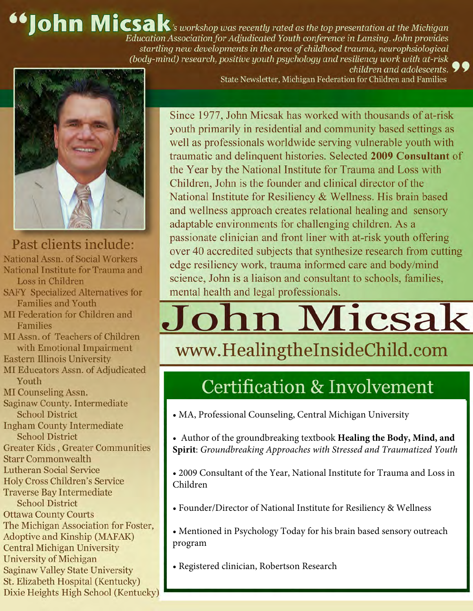**66 John Micsak**'s workshop was recently rated as the top presentation at the Michigan Education Association for Adjudicated Youth conference in Lansing. John provides startling new developments in the area of childhood trauma, neurophsiological (body-mind) research, positive youth psychology and resiliency work with at-risk



Past clients include: National Assn. of Social Workers National Institute for Trauma and Loss in Children

- **SAFY Specialized Alternatives for Families and Youth**
- MI Federation for Children and **Families**
- MI Assn. of Teachers of Children with Emotional Impairment

**Eastern Illinois University** 

- MI Educators Assn. of Adjudicated Youth
- **MI** Counseling Assn.

Saginaw County. Intermediate **School District** 

**Ingham County Intermediate School District** 

**Greater Kids, Greater Communities** 

**Starr Commonwealth** 

- **Lutheran Social Service**
- **Holy Cross Children's Service**

**Traverse Bay Intermediate** 

**School District Ottawa County Courts** The Michigan Association for Foster, **Adoptive and Kinship (MAFAK)** 

**Central Michigan University University of Michigan** 

**Saginaw Valley State University** St. Elizabeth Hospital (Kentucky)

Dixie Heights High School (Kentucky)

children and adolescents. State Newsletter, Michigan Federation for Children and Families

Since 1977, John Micsak has worked with thousands of at-risk youth primarily in residential and community based settings as well as professionals worldwide serving vulnerable youth with traumatic and delinquent histories. Selected 2009 Consultant of the Year by the National Institute for Trauma and Loss with Children, John is the founder and clinical director of the National Institute for Resiliency & Wellness. His brain based and wellness approach creates relational healing and sensory adaptable environments for challenging children. As a passionate clinician and front liner with at-risk youth offering over 40 accredited subjects that synthesize research from cutting edge resiliency work, trauma informed care and body/mind science, John is a liaison and consultant to schools, families, mental health and legal professionals.

# ohn Micsak

#### www.HealingtheInsideChild.com

#### **Certification & Involvement**

• MA, Professional Counseling, Central Michigan University

• Author of the groundbreaking textbook Healing the Body, Mind, and Spirit: Groundbreaking Approaches with Stressed and Traumatized Youth

• 2009 Consultant of the Year, National Institute for Trauma and Loss in Children

• Founder/Director of National Institute for Resiliency & Wellness

• Mentioned in Psychology Today for his brain based sensory outreach program

· Registered clinician, Robertson Research